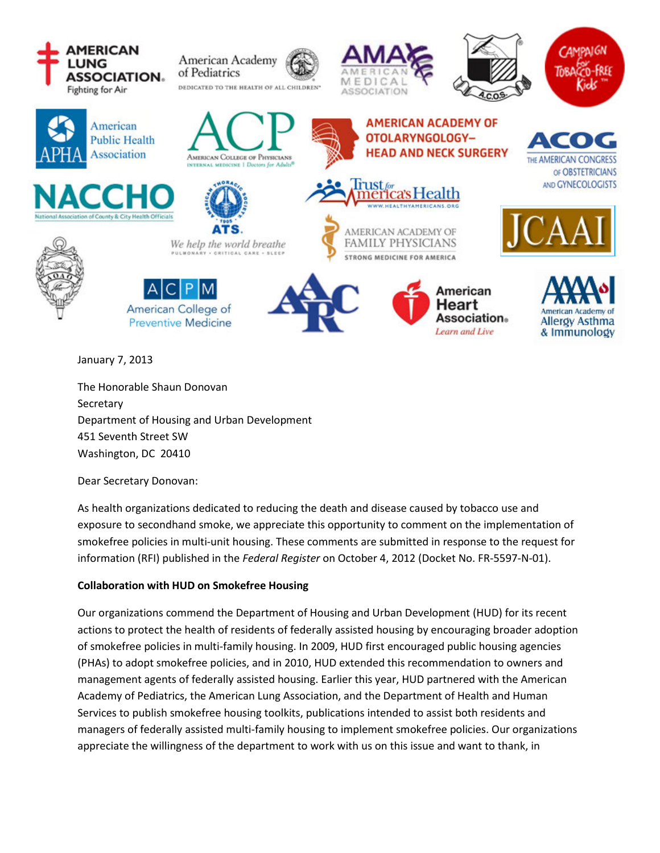

January 7, 2013

The Honorable Shaun Donovan Secretary Department of Housing and Urban Development 451 Seventh Street SW Washington, DC 20410

Dear Secretary Donovan:

As health organizations dedicated to reducing the death and disease caused by tobacco use and exposure to secondhand smoke, we appreciate this opportunity to comment on the implementation of smokefree policies in multi-unit housing. These comments are submitted in response to the request for information (RFI) published in the *Federal Register* on October 4, 2012 (Docket No. FR-5597-N-01).

# **Collaboration with HUD on Smokefree Housing**

Our organizations commend the Department of Housing and Urban Development (HUD) for its recent actions to protect the health of residents of federally assisted housing by encouraging broader adoption of smokefree policies in multi-family housing. In 2009, HUD first encouraged public housing agencies (PHAs) to adopt smokefree policies, and in 2010, HUD extended this recommendation to owners and management agents of federally assisted housing. Earlier this year, HUD partnered with the American Academy of Pediatrics, the American Lung Association, and the Department of Health and Human Services to publish smokefree housing toolkits, publications intended to assist both residents and managers of federally assisted multi-family housing to implement smokefree policies. Our organizations appreciate the willingness of the department to work with us on this issue and want to thank, in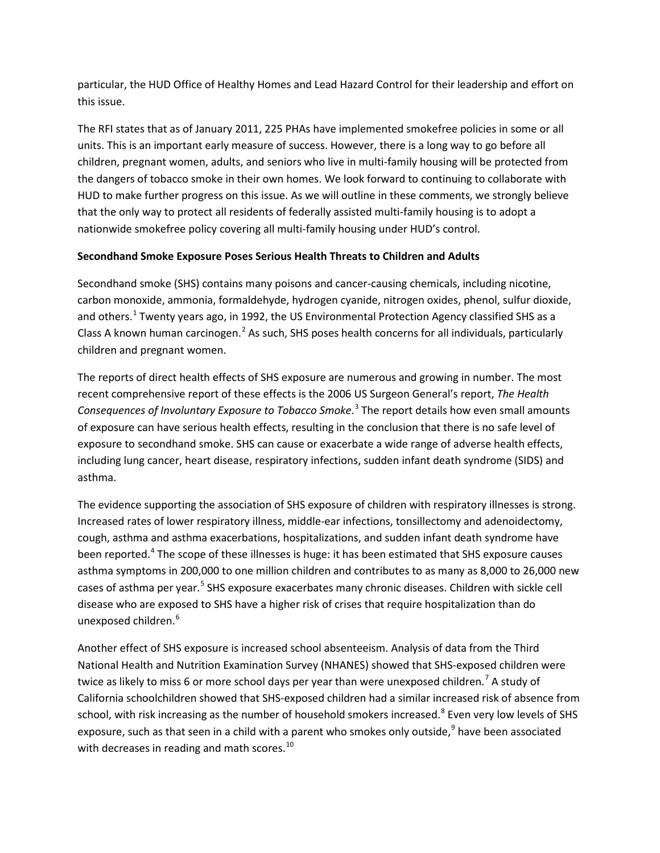particular, the HUD Office of Healthy Homes and Lead Hazard Control for their leadership and effort on this issue.

The RFI states that as of January 2011, 225 PHAs have implemented smokefree policies in some or all units. This is an important early measure of success. However, there is a long way to go before all children, pregnant women, adults, and seniors who live in multi-family housing will be protected from the dangers of tobacco smoke in their own homes. We look forward to continuing to collaborate with HUD to make further progress on this issue. As we will outline in these comments, we strongly believe that the only way to protect all residents of federally assisted multi-family housing is to adopt a nationwide smokefree policy covering all multi-family housing under HUD's control.

## **Secondhand Smoke Exposure Poses Serious Health Threats to Children and Adults**

Secondhand smoke (SHS) contains many poisons and cancer-causing chemicals, including nicotine, carbon monoxide, ammonia, formaldehyde, hydrogen cyanide, nitrogen oxides, phenol, sulfur dioxide, and others.<sup>1</sup> Twenty years ago, in 1992, the US Environmental Protection Agency classified SHS as a Class A known human carcinogen.<sup>2</sup> As such, SHS poses health concerns for all individuals, particularly children and pregnant women.

The reports of direct health effects of SHS exposure are numerous and growing in number. The most recent comprehensive report of these effects is the 2006 US Surgeon General's report, *The Health Consequences of Involuntary Exposure to Tobacco Smoke*. <sup>3</sup> The report details how even small amounts of exposure can have serious health effects, resulting in the conclusion that there is no safe level of exposure to secondhand smoke. SHS can cause or exacerbate a wide range of adverse health effects, including lung cancer, heart disease, respiratory infections, sudden infant death syndrome (SIDS) and asthma.

The evidence supporting the association of SHS exposure of children with respiratory illnesses is strong. Increased rates of lower respiratory illness, middle-ear infections, tonsillectomy and adenoidectomy, cough, asthma and asthma exacerbations, hospitalizations, and sudden infant death syndrome have been reported.<sup>4</sup> The scope of these illnesses is huge: it has been estimated that SHS exposure causes asthma symptoms in 200,000 to one million children and contributes to as many as 8,000 to 26,000 new cases of asthma per year.<sup>5</sup> SHS exposure exacerbates many chronic diseases. Children with sickle cell disease who are exposed to SHS have a higher risk of crises that require hospitalization than do unexposed children.<sup>6</sup>

Another effect of SHS exposure is increased school absenteeism. Analysis of data from the Third National Health and Nutrition Examination Survey (NHANES) showed that SHS-exposed children were twice as likely to miss 6 or more school days per year than were unexposed children.<sup>7</sup> A study of California schoolchildren showed that SHS-exposed children had a similar increased risk of absence from school, with risk increasing as the number of household smokers increased.<sup>8</sup> Even very low levels of SHS exposure, such as that seen in a child with a parent who smokes only outside,  $9^9$  have been associated with decreases in reading and math scores.<sup>10</sup>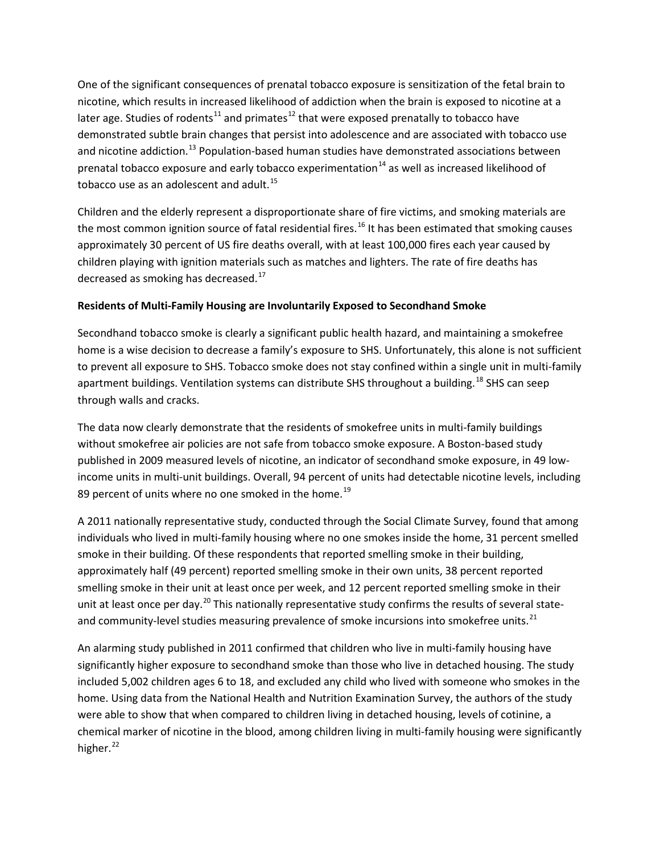One of the significant consequences of prenatal tobacco exposure is sensitization of the fetal brain to nicotine, which results in increased likelihood of addiction when the brain is exposed to nicotine at a later age. Studies of rodents<sup>11</sup> and primates<sup>12</sup> that were exposed prenatally to tobacco have demonstrated subtle brain changes that persist into adolescence and are associated with tobacco use and nicotine addiction.<sup>13</sup> Population-based human studies have demonstrated associations between prenatal tobacco exposure and early tobacco experimentation<sup>14</sup> as well as increased likelihood of tobacco use as an adolescent and adult.<sup>15</sup>

Children and the elderly represent a disproportionate share of fire victims, and smoking materials are the most common ignition source of fatal residential fires.<sup>16</sup> It has been estimated that smoking causes approximately 30 percent of US fire deaths overall, with at least 100,000 fires each year caused by children playing with ignition materials such as matches and lighters. The rate of fire deaths has decreased as smoking has decreased. $^{17}$ 

### **Residents of Multi-Family Housing are Involuntarily Exposed to Secondhand Smoke**

Secondhand tobacco smoke is clearly a significant public health hazard, and maintaining a smokefree home is a wise decision to decrease a family's exposure to SHS. Unfortunately, this alone is not sufficient to prevent all exposure to SHS. Tobacco smoke does not stay confined within a single unit in multi-family apartment buildings. Ventilation systems can distribute SHS throughout a building.<sup>18</sup> SHS can seep through walls and cracks.

The data now clearly demonstrate that the residents of smokefree units in multi-family buildings without smokefree air policies are not safe from tobacco smoke exposure. A Boston-based study published in 2009 measured levels of nicotine, an indicator of secondhand smoke exposure, in 49 lowincome units in multi-unit buildings. Overall, 94 percent of units had detectable nicotine levels, including 89 percent of units where no one smoked in the home.<sup>19</sup>

A 2011 nationally representative study, conducted through the Social Climate Survey, found that among individuals who lived in multi-family housing where no one smokes inside the home, 31 percent smelled smoke in their building. Of these respondents that reported smelling smoke in their building, approximately half (49 percent) reported smelling smoke in their own units, 38 percent reported smelling smoke in their unit at least once per week, and 12 percent reported smelling smoke in their unit at least once per day.<sup>20</sup> This nationally representative study confirms the results of several stateand community-level studies measuring prevalence of smoke incursions into smokefree units.<sup>21</sup>

An alarming study published in 2011 confirmed that children who live in multi-family housing have significantly higher exposure to secondhand smoke than those who live in detached housing. The study included 5,002 children ages 6 to 18, and excluded any child who lived with someone who smokes in the home. Using data from the National Health and Nutrition Examination Survey, the authors of the study were able to show that when compared to children living in detached housing, levels of cotinine, a chemical marker of nicotine in the blood, among children living in multi-family housing were significantly higher. $^{22}$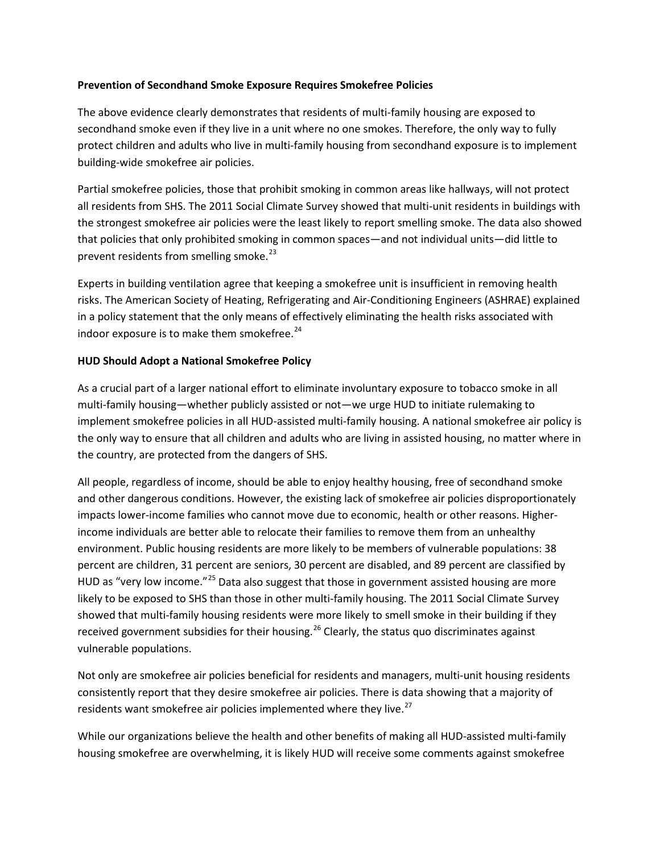#### **Prevention of Secondhand Smoke Exposure Requires Smokefree Policies**

The above evidence clearly demonstrates that residents of multi-family housing are exposed to secondhand smoke even if they live in a unit where no one smokes. Therefore, the only way to fully protect children and adults who live in multi-family housing from secondhand exposure is to implement building-wide smokefree air policies.

Partial smokefree policies, those that prohibit smoking in common areas like hallways, will not protect all residents from SHS. The 2011 Social Climate Survey showed that multi-unit residents in buildings with the strongest smokefree air policies were the least likely to report smelling smoke. The data also showed that policies that only prohibited smoking in common spaces—and not individual units—did little to prevent residents from smelling smoke. $^{23}$ 

Experts in building ventilation agree that keeping a smokefree unit is insufficient in removing health risks. The American Society of Heating, Refrigerating and Air-Conditioning Engineers (ASHRAE) explained in a policy statement that the only means of effectively eliminating the health risks associated with indoor exposure is to make them smokefree.<sup>24</sup>

### **HUD Should Adopt a National Smokefree Policy**

As a crucial part of a larger national effort to eliminate involuntary exposure to tobacco smoke in all multi-family housing—whether publicly assisted or not—we urge HUD to initiate rulemaking to implement smokefree policies in all HUD-assisted multi-family housing. A national smokefree air policy is the only way to ensure that all children and adults who are living in assisted housing, no matter where in the country, are protected from the dangers of SHS.

All people, regardless of income, should be able to enjoy healthy housing, free of secondhand smoke and other dangerous conditions. However, the existing lack of smokefree air policies disproportionately impacts lower-income families who cannot move due to economic, health or other reasons. Higherincome individuals are better able to relocate their families to remove them from an unhealthy environment. Public housing residents are more likely to be members of vulnerable populations: 38 percent are children, 31 percent are seniors, 30 percent are disabled, and 89 percent are classified by HUD as "very low income."<sup>25</sup> Data also suggest that those in government assisted housing are more likely to be exposed to SHS than those in other multi-family housing. The 2011 Social Climate Survey showed that multi-family housing residents were more likely to smell smoke in their building if they received government subsidies for their housing.<sup>26</sup> Clearly, the status quo discriminates against vulnerable populations.

Not only are smokefree air policies beneficial for residents and managers, multi-unit housing residents consistently report that they desire smokefree air policies. There is data showing that a majority of residents want smokefree air policies implemented where they live.<sup>27</sup>

While our organizations believe the health and other benefits of making all HUD-assisted multi-family housing smokefree are overwhelming, it is likely HUD will receive some comments against smokefree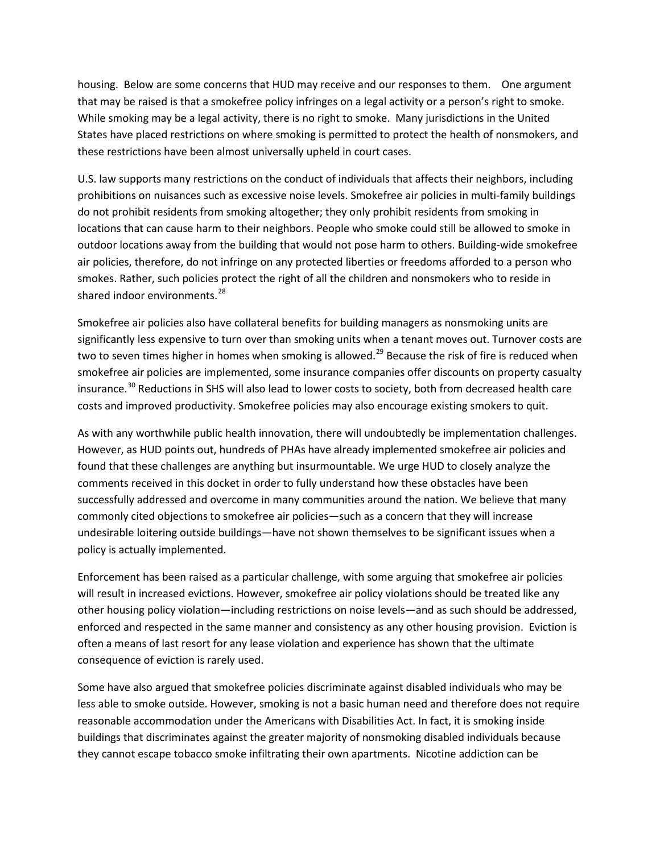housing. Below are some concerns that HUD may receive and our responses to them. One argument that may be raised is that a smokefree policy infringes on a legal activity or a person's right to smoke. While smoking may be a legal activity, there is no right to smoke. Many jurisdictions in the United States have placed restrictions on where smoking is permitted to protect the health of nonsmokers, and these restrictions have been almost universally upheld in court cases.

U.S. law supports many restrictions on the conduct of individuals that affects their neighbors, including prohibitions on nuisances such as excessive noise levels. Smokefree air policies in multi-family buildings do not prohibit residents from smoking altogether; they only prohibit residents from smoking in locations that can cause harm to their neighbors. People who smoke could still be allowed to smoke in outdoor locations away from the building that would not pose harm to others. Building-wide smokefree air policies, therefore, do not infringe on any protected liberties or freedoms afforded to a person who smokes. Rather, such policies protect the right of all the children and nonsmokers who to reside in shared indoor environments.<sup>28</sup>

Smokefree air policies also have collateral benefits for building managers as nonsmoking units are significantly less expensive to turn over than smoking units when a tenant moves out. Turnover costs are two to seven times higher in homes when smoking is allowed.<sup>29</sup> Because the risk of fire is reduced when smokefree air policies are implemented, some insurance companies offer discounts on property casualty insurance.<sup>30</sup> Reductions in SHS will also lead to lower costs to society, both from decreased health care costs and improved productivity. Smokefree policies may also encourage existing smokers to quit.

As with any worthwhile public health innovation, there will undoubtedly be implementation challenges. However, as HUD points out, hundreds of PHAs have already implemented smokefree air policies and found that these challenges are anything but insurmountable. We urge HUD to closely analyze the comments received in this docket in order to fully understand how these obstacles have been successfully addressed and overcome in many communities around the nation. We believe that many commonly cited objections to smokefree air policies—such as a concern that they will increase undesirable loitering outside buildings—have not shown themselves to be significant issues when a policy is actually implemented.

Enforcement has been raised as a particular challenge, with some arguing that smokefree air policies will result in increased evictions. However, smokefree air policy violations should be treated like any other housing policy violation—including restrictions on noise levels—and as such should be addressed, enforced and respected in the same manner and consistency as any other housing provision. Eviction is often a means of last resort for any lease violation and experience has shown that the ultimate consequence of eviction is rarely used.

Some have also argued that smokefree policies discriminate against disabled individuals who may be less able to smoke outside. However, smoking is not a basic human need and therefore does not require reasonable accommodation under the Americans with Disabilities Act. In fact, it is smoking inside buildings that discriminates against the greater majority of nonsmoking disabled individuals because they cannot escape tobacco smoke infiltrating their own apartments. Nicotine addiction can be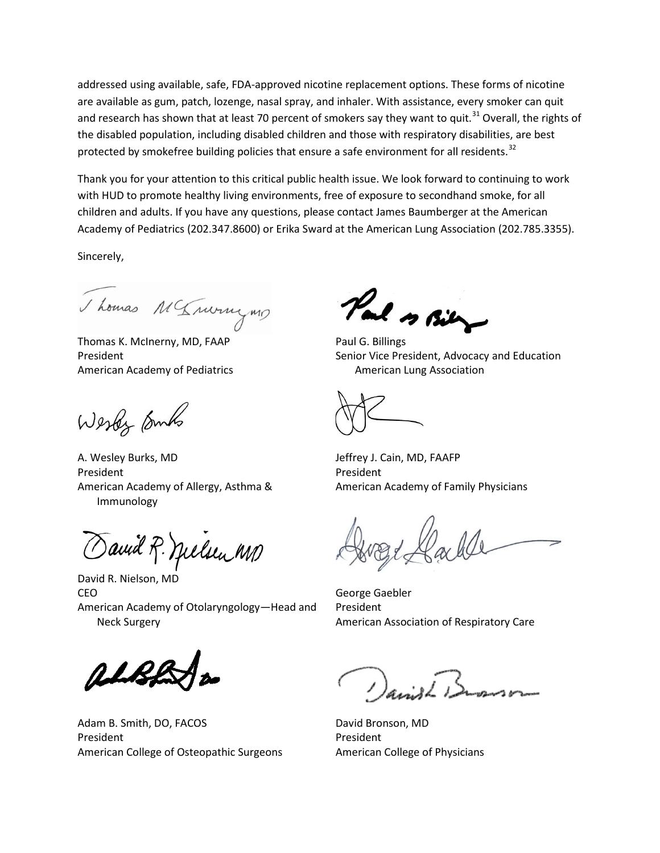addressed using available, safe, FDA-approved nicotine replacement options. These forms of nicotine are available as gum, patch, lozenge, nasal spray, and inhaler. With assistance, every smoker can quit and research has shown that at least 70 percent of smokers say they want to quit.<sup>31</sup> Overall, the rights of the disabled population, including disabled children and those with respiratory disabilities, are best protected by smokefree building policies that ensure a safe environment for all residents.<sup>32</sup>

Thank you for your attention to this critical public health issue. We look forward to continuing to work with HUD to promote healthy living environments, free of exposure to secondhand smoke, for all children and adults. If you have any questions, please contact James Baumberger at the American Academy of Pediatrics (202.347.8600) or Erika Sward at the American Lung Association (202.785.3355).

Sincerely,

Thomas M'Invingun

Thomas K. McInerny, MD, FAAP President American Academy of Pediatrics

Wester Embs

A. Wesley Burks, MD President American Academy of Allergy, Asthma & Immunology

avid R. Melsen MD

David R. Nielson, MD CEO American Academy of Otolaryngology—Head and Neck Surgery

Adam B. Smith, DO, FACOS President American College of Osteopathic Surgeons

Pal s Bil

Paul G. Billings Senior Vice President, Advocacy and Education American Lung Association

Jeffrey J. Cain, MD, FAAFP President American Academy of Family Physicians

George Gaebler President American Association of Respiratory Care

David Bronson, MD President American College of Physicians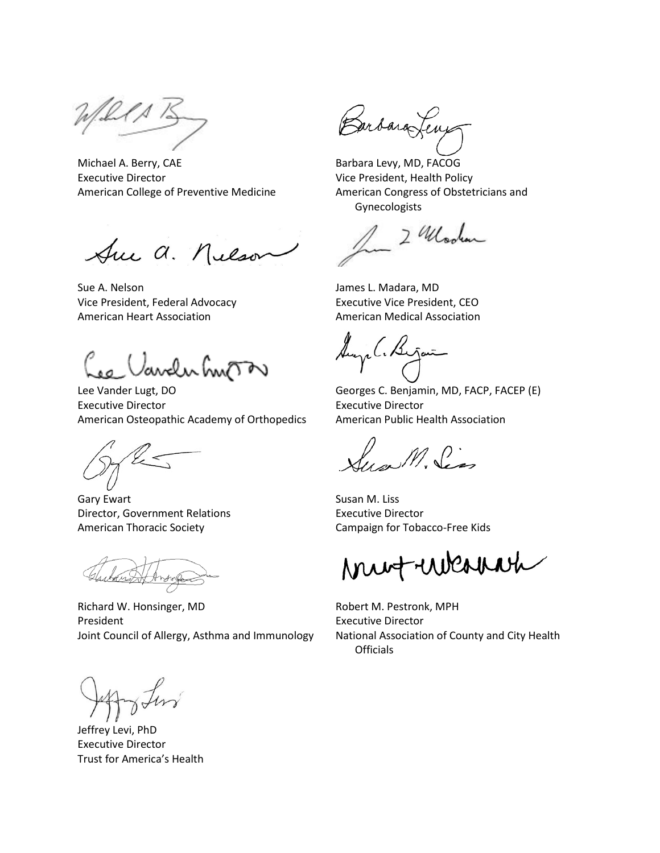Michael A. Berry, CAE Executive Director American College of Preventive Medicine

Sue a. Nelson

Sue A. Nelson Vice President, Federal Advocacy American Heart Association

Oaveluhnom

Lee Vander Lugt, DO Executive Director American Osteopathic Academy of Orthopedics

 $\mathbb{Z}$ 

Gary Ewart Director, Government Relations American Thoracic Society

Richard W. Honsinger, MD President Joint Council of Allergy, Asthma and Immunology

Jeffrey Levi, PhD Executive Director Trust for America's Health

Barbara Leng

Barbara Levy, MD, FACOG Vice President, Health Policy American Congress of Obstetricians and Gynecologists

2 Modern

James L. Madara, MD Executive Vice President, CEO American Medical Association

Augel. Bijai

Georges C. Benjamin, MD, FACP, FACEP (E) Executive Director American Public Health Association

Sym M. Sen

Susan M. Liss Executive Director Campaign for Tobacco-Free Kids

mutulenne

Robert M. Pestronk, MPH Executive Director National Association of County and City Health **Officials**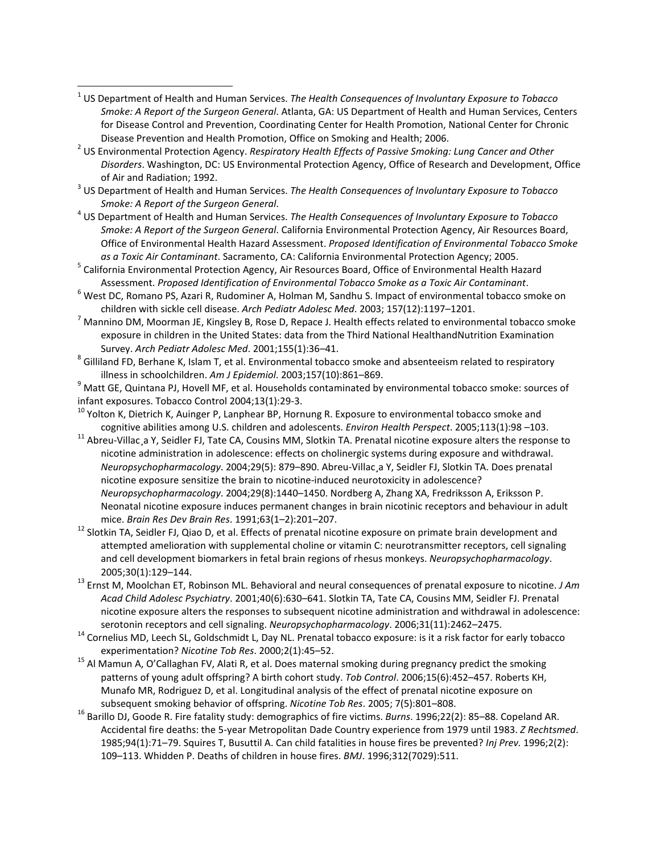<sup>1</sup> US Department of Health and Human Services. *The Health Consequences of Involuntary Exposure to Tobacco Smoke: A Report of the Surgeon General*. Atlanta, GA: US Department of Health and Human Services, Centers for Disease Control and Prevention, Coordinating Center for Health Promotion, National Center for Chronic

 $\overline{\phantom{a}}$ 

- Disease Prevention and Health Promotion, Office on Smoking and Health; 2006. <sup>2</sup> US Environmental Protection Agency. *Respiratory Health Effects of Passive Smoking: Lung Cancer and Other Disorders*. Washington, DC: US Environmental Protection Agency, Office of Research and Development, Office of Air and Radiation; 1992. <sup>3</sup> US Department of Health and Human Services. *The Health Consequences of Involuntary Exposure to Tobacco*
- *Smoke: A Report of the Surgeon General*. 4 US Department of Health and Human Services. *The Health Consequences of Involuntary Exposure to Tobacco*
- *Smoke: A Report of the Surgeon General*. California Environmental Protection Agency, Air Resources Board, Office of Environmental Health Hazard Assessment. *Proposed Identification of Environmental Tobacco Smoke*
- *as a Toxic Air Contaminant*. Sacramento, CA: California Environmental Protection Agency; 2005.<br><sup>5</sup> California Environmental Protection Agency, Air Resources Board, Office of Environmental Health Hazard
- Assessment. *Proposed Identification of Environmental Tobacco Smoke as a Toxic Air Contaminant*. 6 West DC, Romano PS, Azari R, Rudominer A, Holman M, Sandhu S. Impact of environmental tobacco smoke on
- children with sickle cell disease. *Arch Pediatr Adolesc Med*. 2003; 157(12):1197–1201. <sup>7</sup> Mannino DM, Moorman JE, Kingsley B, Rose D, Repace J. Health effects related to environmental tobacco smoke exposure in children in the United States: data from the Third National HealthandNutrition Examination
- Survey. *Arch Pediatr Adolesc Med*. 2001;155(1):36–41.<br><sup>8</sup> Gilliland FD, Berhane K, Islam T, et al. Environmental tobacco smoke and absenteeism related to respiratory

illness in schoolchildren. *Am J Epidemiol*. 2003;157(10):861–869. <sup>9</sup> Matt GE, Quintana PJ, Hovell MF, et al. Households contaminated by environmental tobacco smoke: sources of

- infant exposures. Tobacco Control 2004;13(1):29-3.<br><sup>10</sup> Yolton K, Dietrich K, Auinger P, Lanphear BP, Hornung R. Exposure to environmental tobacco smoke and cognitive abilities among U.S. children and adolescents. Environ Health Perspect. 2005;113(1):98 -103.<br><sup>11</sup> Abreu-Villac a Y. Seidler FJ. Tate CA. Cousins MM. Slotkin TA. Prenatal nicotine exposure alters the response to
- nicotine administration in adolescence: effects on cholinergic systems during exposure and withdrawal. *Neuropsychopharmacology*. 2004;29(5): 879–890. Abreu-Villac¸a Y, Seidler FJ, Slotkin TA. Does prenatal nicotine exposure sensitize the brain to nicotine-induced neurotoxicity in adolescence? *Neuropsychopharmacology*. 2004;29(8):1440–1450. Nordberg A, Zhang XA, Fredriksson A, Eriksson P. Neonatal nicotine exposure induces permanent changes in brain nicotinic receptors and behaviour in adult
- mice. *Brain Res Dev Brain Res*. 1991;63(1–2):201–207. <sup>12</sup> Slotkin TA, Seidler FJ, Qiao D, et al. Effects of prenatal nicotine exposure on primate brain development and attempted amelioration with supplemental choline or vitamin C: neurotransmitter receptors, cell signaling and cell development biomarkers in fetal brain regions of rhesus monkeys. *Neuropsychopharmacology*.
- 2005;30(1):129–144. <sup>13</sup> Ernst M, Moolchan ET, Robinson ML. Behavioral and neural consequences of prenatal exposure to nicotine. *J Am Acad Child Adolesc Psychiatry*. 2001;40(6):630–641. Slotkin TA, Tate CA, Cousins MM, Seidler FJ. Prenatal nicotine exposure alters the responses to subsequent nicotine administration and withdrawal in adolescence:
- serotonin receptors and cell signaling. *Neuropsychopharmacology*. 2006;31(11):2462–2475. <sup>14</sup> Cornelius MD, Leech SL, Goldschmidt L, Day NL. Prenatal tobacco exposure: is it a risk factor for early tobacco experimentation? *Nicotine Tob Res*. 2000;2(1):45–52. <sup>15</sup> Al Mamun A, O'Callaghan FV, Alati R, et al. Does maternal smoking during pregnancy predict the smoking
- patterns of young adult offspring? A birth cohort study. *Tob Control*. 2006;15(6):452–457. Roberts KH, Munafo MR, Rodriguez D, et al. Longitudinal analysis of the effect of prenatal nicotine exposure on
- subsequent smoking behavior of offspring. *Nicotine Tob Res*. 2005; 7(5):801–808. <sup>16</sup> Barillo DJ, Goode R. Fire fatality study: demographics of fire victims. *Burns*. 1996;22(2): 85–88. Copeland AR. Accidental fire deaths: the 5-year Metropolitan Dade Country experience from 1979 until 1983. *Z Rechtsmed*. 1985;94(1):71–79. Squires T, Busuttil A. Can child fatalities in house fires be prevented? *Inj Prev.* 1996;2(2): 109–113. Whidden P. Deaths of children in house fires. *BMJ*. 1996;312(7029):511.